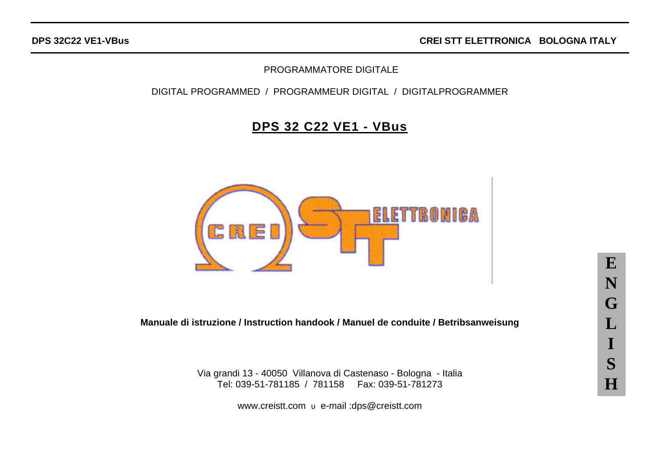## PROGRAMMATORE DIGITALE

## DIGITAL PROGRAMMED / PROGRAMMEUR DIGITAL / DIGITALPROGRAMMER

# **DPS 32 C22 VE1 - VBus**



**Manuale di istruzione / Instruction handook / Manuel de conduite / Betribsanweisung**

Via grandi 13 - 40050 Villanova di Castenaso - Bologna - Italia Tel: 039-51-781185 / 781158 Fax: 039-51-781273

www.creistt.com υ e-mail :dps@creistt.com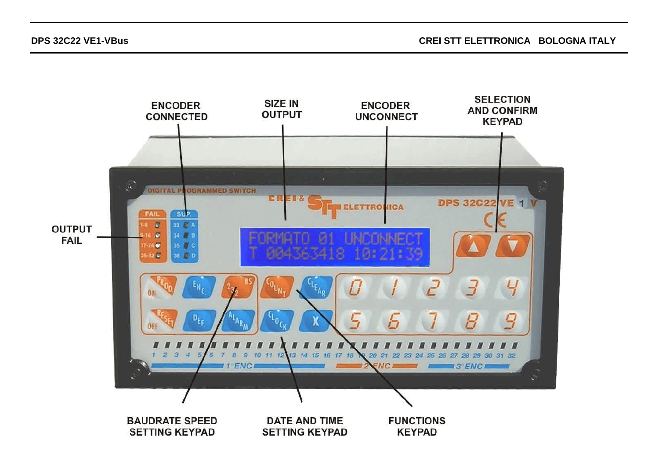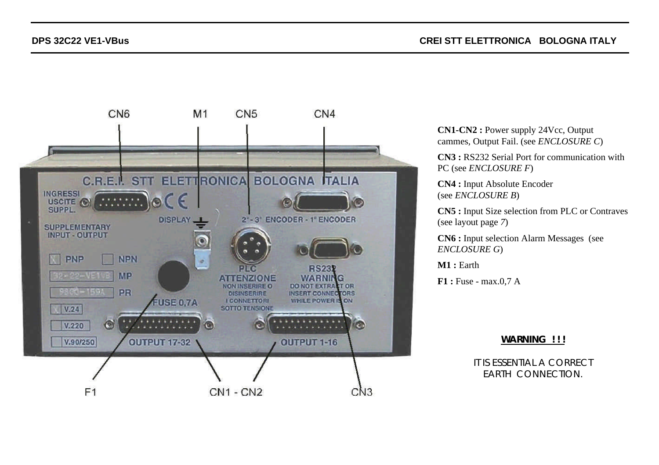

**CN1-CN2 :** Power supply 24Vcc, Output cammes, Output Fail. (see *ENCLOSURE C*)

**CN3 :** RS232 Serial Port for communication with PC (see *ENCLOSURE F*)

**CN4 :** Input Absolute Encoder (see *ENCLOSURE B*)

**CN5 :** Input Size selection from PLC or Contraves (see layout page *7*)

**CN6 :** Input selection Alarm Messages (see *ENCLOSURE G*)

**M1 :** Earth

**F1 :** Fuse - max.0,7 A

#### **WARNING ! ! !**

IT IS ESSENTIAL A CORRECT EARTH CONNECTION.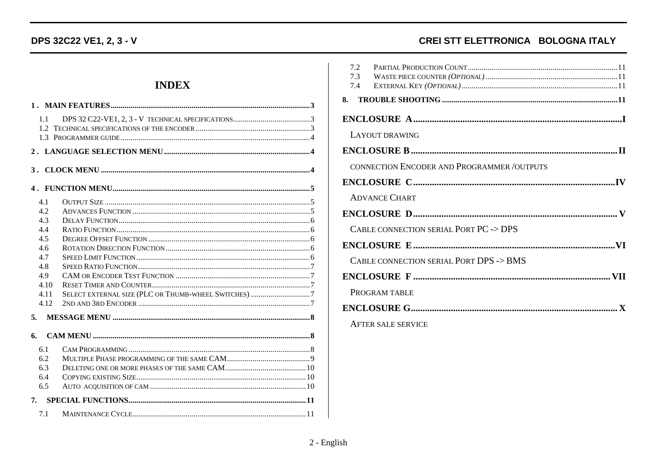# DPS 32C22 VE1, 2, 3 - V

# **INDEX**

| 1.1                                                                                 |                                                      |
|-------------------------------------------------------------------------------------|------------------------------------------------------|
|                                                                                     |                                                      |
| 3.                                                                                  |                                                      |
|                                                                                     |                                                      |
| 4.1<br>4.2<br>4.3<br>4.4<br>4.5<br>4.6<br>4.7<br>4.8<br>4.9<br>4.10<br>4.11<br>4.12 | SELECT EXTERNAL SIZE (PLC OR THUMB-WHEEL SWITCHES) 7 |
| 5.                                                                                  |                                                      |
| 6.                                                                                  |                                                      |
| 6.1<br>6.2<br>6.3<br>6.4<br>6.5                                                     |                                                      |
| 7.                                                                                  |                                                      |
| 7.1                                                                                 |                                                      |

# CREI STT ELETTRONICA BOLOGNA ITALY

| 7.2<br>7.3<br>7.4                          |
|--------------------------------------------|
| 8.                                         |
|                                            |
| LAYOUT DRAWING                             |
|                                            |
| CONNECTION ENCODER AND PROGRAMMER /OUTPUTS |
|                                            |
| <b>ADVANCE CHART</b>                       |
|                                            |
| CABLE CONNECTION SERIAL PORT PC -> DPS     |
|                                            |
| CABLE CONNECTION SERIAL PORT DPS -> BMS    |
|                                            |
| PROGRAM TABLE                              |
|                                            |
| <b>AFTER SALE SERVICE</b>                  |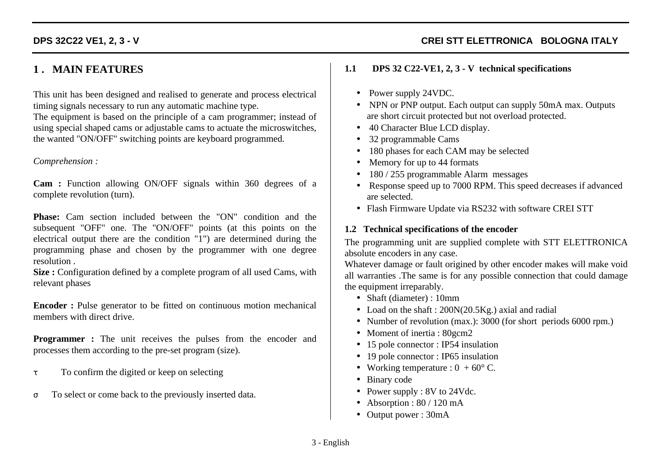# **1 . MAIN FEATURES**

This unit has been designed and realised to generate and process electrical timing signals necessary to run any automatic machine type.

The equipment is based on the principle of a cam programmer; instead of using special shaped cams or adjustable cams to actuate the microswitches, the wanted "ON/OFF" switching points are keyboard programmed.

#### *Comprehension :*

**Cam :** Function allowing ON/OFF signals within 360 degrees of a complete revolution (turn).

**Phase:** Cam section included between the "ON" condition and the subsequent "OFF" one. The "ON/OFF" points (at this points on the electrical output there are the condition "1") are determined during the programming phase and chosen by the programmer with one degree resolution .

**Size :** Configuration defined by a complete program of all used Cams, with relevant phases

**Encoder**: Pulse generator to be fitted on continuous motion mechanical members with direct drive.

**Programmer :** The unit receives the pulses from the encoder and processes them according to the pre-set program (size).

- τ To confirm the digited or keep on selecting
- σ To select or come back to the previously inserted data.

### **1.1 DPS 32 C22-VE1, 2, 3 - V technical specifications**

- Power supply 24VDC.
- NPN or PNP output. Each output can supply 50mA max. Outputs are short circuit protected but not overload protected.
- 40 Character Blue LCD display.
- 32 programmable Cams
- 180 phases for each CAM may be selected
- Memory for up to 44 formats
- 180 / 255 programmable Alarm messages
- Response speed up to 7000 RPM. This speed decreases if advanced are selected.
- Flash Firmware Update via RS232 with software CREI STT

### **1.2 Technical specifications of the encoder**

The programming unit are supplied complete with STT ELETTRONICA absolute encoders in any case.

Whatever damage or fault origined by other encoder makes will make void all warranties .The same is for any possible connection that could damage the equipment irreparably.

- Shaft (diameter) : 10mm
- Load on the shaft : 200N(20.5Kg.) axial and radial
- Number of revolution (max.): 3000 (for short periods 6000 rpm.)
- Moment of inertia : 80gcm2
- 15 pole connector : IP54 insulation
- 19 pole connector : IP65 insulation
- Working temperature :  $0 + 60^{\circ}$  C.
- Binary code
- Power supply : 8V to 24Vdc.
- Absorption :  $80 / 120$  mA
- Output power : 30mA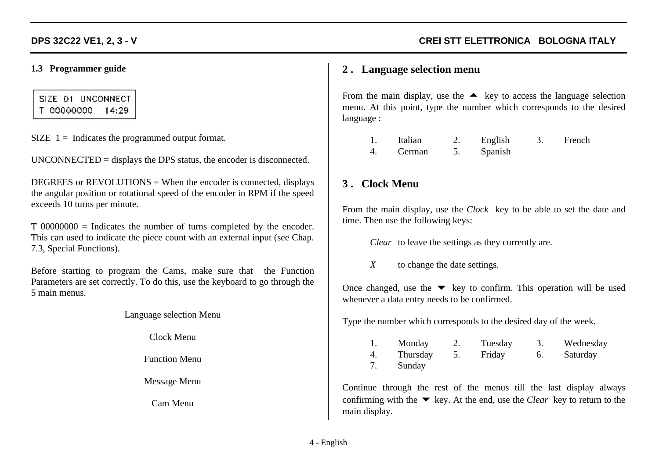### **1.3 Programmer guide**

SIZE 01 UNCONNECT T 00000000 14:29

 $SIZE$  1 = Indicates the programmed output format.

UNCONNECTED = displays the DPS status, the encoder is disconnected.

DEGREES or REVOLUTIONS = When the encoder is connected, displays the angular position or rotational speed of the encoder in RPM if the speed exceeds 10 turns per minute.

T 00000000 = Indicates the number of turns completed by the encoder. This can used to indicate the piece count with an external input (see Chap. 7.3, Special Functions).

Before starting to program the Cams, make sure that the Function Parameters are set correctly. To do this, use the keyboard to go through the 5 main menus.

Language selection Menu

Clock Menu

Function Menu

Message Menu

Cam Menu

## **2 . Language selection menu**

From the main display, use the  $\triangle$  key to access the language selection menu. At this point, type the number which corresponds to the desired language :

| Italian | English | French |
|---------|---------|--------|
| German  | Spanish |        |

## **3 . Clock Menu**

From the main display, use the *Clock* key to be able to set the date and time. Then use the following keys:

*Clear* to leave the settings as they currently are.

*X* to change the date settings.

Once changed, use the  $\blacktriangledown$  key to confirm. This operation will be used whenever a data entry needs to be confirmed.

Type the number which corresponds to the desired day of the week.

|   | Monday   | Tuesday | Wednesday |
|---|----------|---------|-----------|
| 4 | Thursday | Friday  | Saturday  |
|   | Sunday   |         |           |

Continue through the rest of the menus till the last display always confirming with the  $\blacktriangledown$  key. At the end, use the *Clear* key to return to the main display.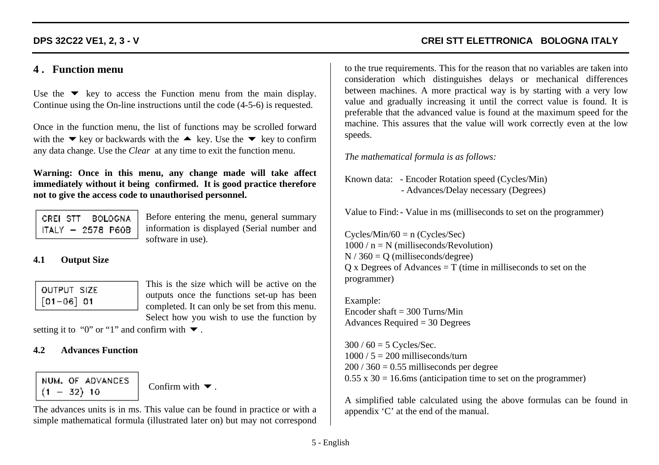## **4 . Function menu**

Use the  $\blacktriangledown$  key to access the Function menu from the main display. Continue using the On-line instructions until the code (4-5-6) is requested.

Once in the function menu, the list of functions may be scrolled forward with the  $\blacktriangleright$  key or backwards with the  $\blacktriangleright$  key. Use the  $\blacktriangleright$  key to confirm any data change. Use the *Clear* at any time to exit the function menu.

**Warning: Once in this menu, any change made will take affect immediately without it being confirmed. It is good practice therefore not to give the access code to unauthorised personnel.**

| CREI STT |  | BOLOGNA             |
|----------|--|---------------------|
|          |  | $ITALY - 2578$ P60B |

Before entering the menu, general summary information is displayed (Serial number and software in use).

### **4.1 Output Size**

| <b>OUTPUT SIZE</b> |  |
|--------------------|--|
| $[01 - 06]$ 01     |  |

This is the size which will be active on the outputs once the functions set-up has been completed. It can only be set from this menu. Select how you wish to use the function by

setting it to "0" or "1" and confirm with  $\blacktriangledown$ .

### **4.2 Advances Function**

NUM. OF ADVANCES  $(1 - 32)$  10

Confirm with  $\blacktriangledown$ .

The advances units is in ms. This value can be found in practice or with a simple mathematical formula (illustrated later on) but may not correspond

**DPS 32C22 VE1, 2, 3 - V CREI STT ELETTRONICA BOLOGNA ITALY**

to the true requirements. This for the reason that no variables are taken into consideration which distinguishes delays or mechanical differences between machines. A more practical way is by starting with a very low value and gradually increasing it until the correct value is found. It is preferable that the advanced value is found at the maximum speed for the machine. This assures that the value will work correctly even at the low speeds.

*The mathematical formula is as follows:*

Known data: - Encoder Rotation speed (Cycles/Min) - Advances/Delay necessary (Degrees)

Value to Find:- Value in ms (milliseconds to set on the programmer)

 $Cycles/Min/60 = n (Cycles/Sec)$  $1000 / n = N$  (milliseconds/Revolution)  $N / 360 = O$  (milliseconds/degree)  $Q$  x Degrees of Advances = T (time in milliseconds to set on the programmer)

Example: Encoder shaft  $=$  300 Turns/Min Advances Required = 30 Degrees

 $300 / 60 = 5$  Cycles/Sec.  $1000 / 5 = 200$  milliseconds/turn  $200 / 360 = 0.55$  milliseconds per degree  $0.55 \times 30 = 16.6 \text{ms}$  (anticipation time to set on the programmer)

A simplified table calculated using the above formulas can be found in appendix 'C' at the end of the manual.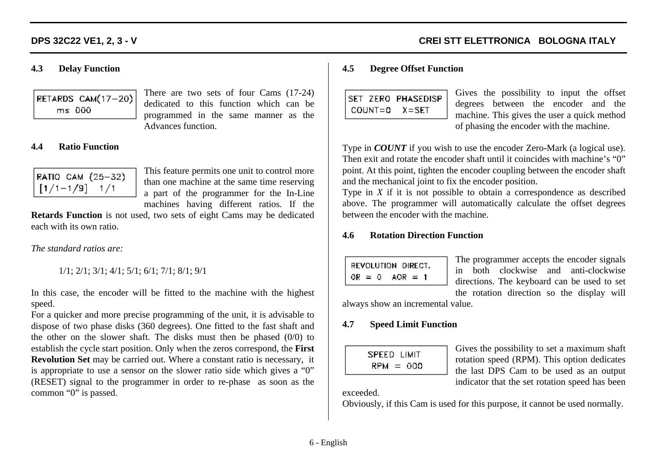#### **4.3 Delay Function**

| RETARDS CAM(17-20) |
|--------------------|
| ms 000             |

There are two sets of four Cams (17-24) dedicated to this function which can be programmed in the same manner as the Advances function.

#### **4.4 Ratio Function**

|                                   | RATIO CAM (25-32) |
|-----------------------------------|-------------------|
| $\lfloor [1/1-1/9] - 1/1 \rfloor$ |                   |

This feature permits one unit to control more than one machine at the same time reserving a part of the programmer for the In-Line machines having different ratios. If the

**Retards Function** is not used, two sets of eight Cams may be dedicated each with its own ratio.

*The standard ratios are:*

1/1; 2/1; 3/1; 4/1; 5/1; 6/1; 7/1; 8/1; 9/1

In this case, the encoder will be fitted to the machine with the highest speed.

For a quicker and more precise programming of the unit, it is advisable to dispose of two phase disks (360 degrees). One fitted to the fast shaft and the other on the slower shaft. The disks must then be phased (0/0) to establish the cycle start position. Only when the zeros correspond, the **First Revolution Set** may be carried out. Where a constant ratio is necessary, it is appropriate to use a sensor on the slower ratio side which gives a "0" (RESET) signal to the programmer in order to re-phase as soon as the common "0" is passed.

#### **4.5 Degree Offset Function**

|  | ISET ZERO PHASEDISP |
|--|---------------------|
|  | COUNT=0 X=SET       |

Gives the possibility to input the offset degrees between the encoder and the machine. This gives the user a quick method of phasing the encoder with the machine.

Type in *COUNT* if you wish to use the encoder Zero-Mark (a logical use). Then exit and rotate the encoder shaft until it coincides with machine's "0" point. At this point, tighten the encoder coupling between the encoder shaft and the mechanical joint to fix the encoder position.

Type in *X* if it is not possible to obtain a correspondence as described above. The programmer will automatically calculate the offset degrees between the encoder with the machine.

#### **4.6 Rotation Direction Function**

| REVOLUTION DIRECT.  |  |
|---------------------|--|
| $OR = 0$<br>$AOR =$ |  |

The programmer accepts the encoder signals in both clockwise and anti-clockwise directions. The keyboard can be used to set the rotation direction so the display will

always show an incremental value.

#### **4.7 Speed Limit Function**

| $RPM = 000$ | SPEED LIMIT |
|-------------|-------------|
|             |             |

Gives the possibility to set a maximum shaft rotation speed (RPM). This option dedicates the last DPS Cam to be used as an output indicator that the set rotation speed has been

#### exceeded.

Obviously, if this Cam is used for this purpose, it cannot be used normally.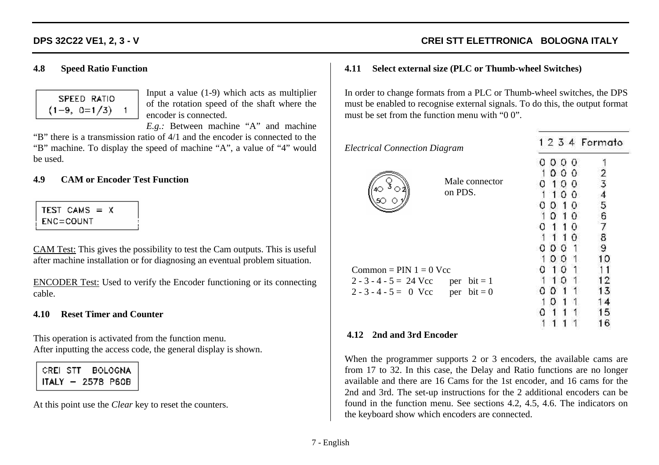## **4.8 Speed Ratio Function**

|                | SPEED RATIO |   |
|----------------|-------------|---|
| $(1-9, 0=1/3)$ |             | 1 |

Input a value (1-9) which acts as multiplier of the rotation speed of the shaft where the encoder is connected.

*E.g.:* Between machine "A" and machine "B" there is a transmission ratio of 4/1 and the encoder is connected to the "B" machine. To display the speed of machine "A", a value of "4" would be used.

### **4.9 CAM or Encoder Test Function**

| TEST CAMS = X |  |  |
|---------------|--|--|
| $ENC = COUNT$ |  |  |

CAM Test: This gives the possibility to test the Cam outputs. This is useful after machine installation or for diagnosing an eventual problem situation.

ENCODER Test: Used to verify the Encoder functioning or its connecting cable.

## **4.10 Reset Timer and Counter**

This operation is activated from the function menu. After inputting the access code, the general display is shown.

CREI STT BOLOGNA  $ITALY - 2578$  P60B

At this point use the *Clear* key to reset the counters.

#### **4.11 Select external size (PLC or Thumb-wheel Switches)**

In order to change formats from a PLC or Thumb-wheel switches, the DPS must be enabled to recognise external signals. To do this, the output format must be set from the function menu with "0 0".

| <b>Electrical Connection Diagram</b> |                | 1 2 3 4 Formato |        |
|--------------------------------------|----------------|-----------------|--------|
|                                      |                |                 |        |
|                                      |                | Ω<br>0<br>O     |        |
|                                      | Male connector |                 |        |
|                                      | on PDS.        | о               |        |
|                                      |                | O<br>Ω          |        |
|                                      |                | Ω<br>0          | 5<br>6 |
|                                      |                |                 |        |
|                                      |                |                 |        |
|                                      |                | Ω               |        |
|                                      |                | D<br>o          |        |
| Common = $PIN 1 = 0$ Vcc             |                |                 |        |
| $2 - 3 - 4 - 5 = 24$ Vcc             | per $bit = 1$  |                 |        |
| $2 - 3 - 4 - 5 = 0$ Vcc per bit = 0  |                | 0               |        |
|                                      |                | I)              |        |
|                                      |                |                 |        |
|                                      |                |                 | b      |

#### **4.12 2nd and 3rd Encoder**

When the programmer supports 2 or 3 encoders, the available cams are from 17 to 32. In this case, the Delay and Ratio functions are no longer available and there are 16 Cams for the 1st encoder, and 16 cams for the 2nd and 3rd. The set-up instructions for the 2 additional encoders can be found in the function menu. See sections 4.2, 4.5, 4.6. The indicators on the keyboard show which encoders are connected.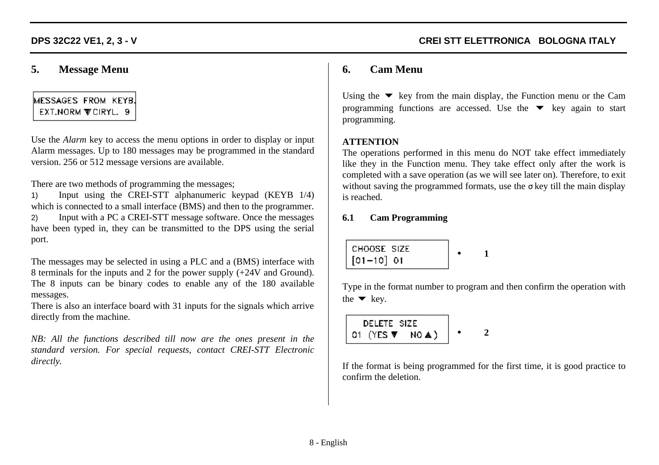## **5. Message Menu**

# MESSAGES FROM KEYB. EXT.NORM **WCIRYL.** 9

Use the *Alarm* key to access the menu options in order to display or input Alarm messages. Up to 180 messages may be programmed in the standard version. 256 or 512 message versions are available.

There are two methods of programming the messages;

1) Input using the CREI-STT alphanumeric keypad (KEYB 1/4) which is connected to a small interface (BMS) and then to the programmer. 2) Input with a PC a CREI-STT message software. Once the messages have been typed in, they can be transmitted to the DPS using the serial port.

The messages may be selected in using a PLC and a (BMS) interface with 8 terminals for the inputs and 2 for the power supply (+24V and Ground). The 8 inputs can be binary codes to enable any of the 180 available messages.

There is also an interface board with 31 inputs for the signals which arrive directly from the machine.

*NB: All the functions described till now are the ones present in the standard version. For special requests, contact CREI-STT Electronic directly.*

# **6. Cam Menu**

Using the  $\blacktriangledown$  key from the main display, the Function menu or the Cam programming functions are accessed. Use the  $\blacktriangledown$  key again to start programming.

## **ATTENTION**

The operations performed in this menu do NOT take effect immediately like they in the Function menu. They take effect only after the work is completed with a save operation (as we will see later on). Therefore, to exit without saving the programmed formats, use the  $\sigma$  key till the main display is reached.

## **6.1 Cam Programming**

• **1**

Type in the format number to program and then confirm the operation with the  $\blacktriangleright$  key.

| DELETE SIZE                     |  |
|---------------------------------|--|
| 01 (YES $\Psi$ NO $\triangle$ ) |  |

If the format is being programmed for the first time, it is good practice to confirm the deletion.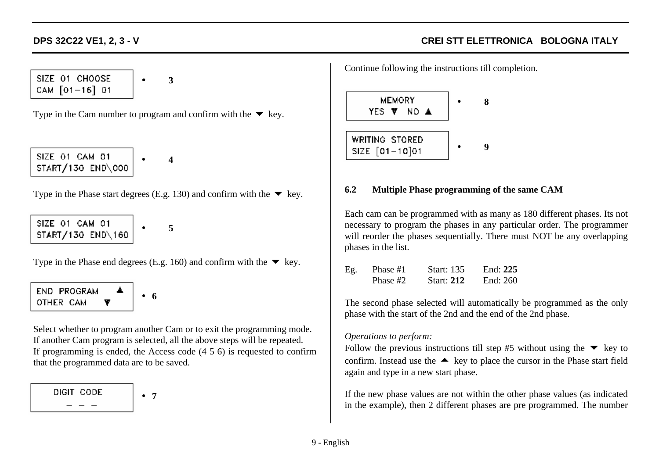SIZE 01 CHOOSE CAM [01-16] 01

• **3**

Type in the Cam number to program and confirm with the  $\blacktriangledown$  key.

SIZE 01 CAM 01 START/130 END\000

• **4**

Type in the Phase start degrees (E.g. 130) and confirm with the  $\blacktriangledown$  key.

SIZE 01 CAM 01 START/130 END\160

• **5**

Type in the Phase end degrees (E.g. 160) and confirm with the  $\blacktriangledown$  key.

END PROGRAM • **6** OTHER CAM v

Select whether to program another Cam or to exit the programming mode. If another Cam program is selected, all the above steps will be repeated. If programming is ended, the Access code (4 5 6) is requested to confirm that the programmed data are to be saved.

DIGIT CODE • **7** Continue following the instructions till completion.



#### **6.2 Multiple Phase programming of the same CAM**

Each cam can be programmed with as many as 180 different phases. Its not necessary to program the phases in any particular order. The programmer will reorder the phases sequentially. There must NOT be any overlapping phases in the list.

| Eg. | Phase #1 | <b>Start:</b> 135 | End: $225$ |
|-----|----------|-------------------|------------|
|     | Phase #2 | <b>Start: 212</b> | End: 260   |

The second phase selected will automatically be programmed as the only phase with the start of the 2nd and the end of the 2nd phase.

### *Operations to perform:*

Follow the previous instructions till step #5 without using the  $\blacktriangledown$  key to confirm. Instead use the  $\triangle$  key to place the cursor in the Phase start field again and type in a new start phase.

If the new phase values are not within the other phase values (as indicated in the example), then 2 different phases are pre programmed. The number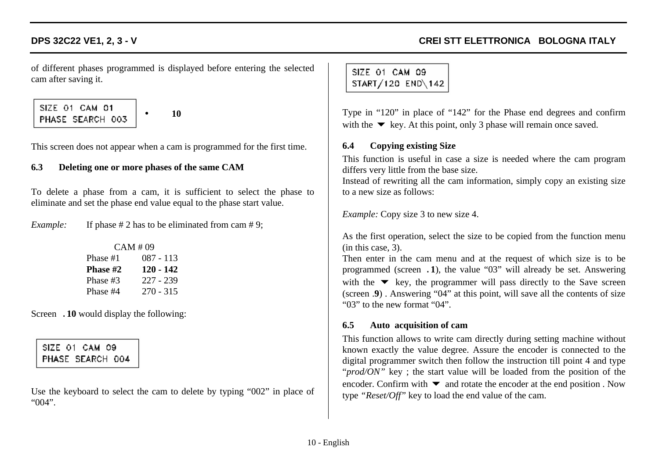of different phases programmed is displayed before entering the selected cam after saving it.

SIZE 01 CAM 01 PHASE SEARCH 003

• **10**

This screen does not appear when a cam is programmed for the first time.

#### **6.3 Deleting one or more phases of the same CAM**

To delete a phase from a cam, it is sufficient to select the phase to eliminate and set the phase end value equal to the phase start value.

*Example:* If phase # 2 has to be eliminated from cam # 9;

| CAM #09         |             |  |  |  |  |  |
|-----------------|-------------|--|--|--|--|--|
| Phase #1        | 087 - 113   |  |  |  |  |  |
| <b>Phase #2</b> | 120 - 142   |  |  |  |  |  |
| Phase #3        | 227 - 239   |  |  |  |  |  |
| Phase #4        | $270 - 315$ |  |  |  |  |  |

Screen .**10** would display the following:

SIZE 01 CAM 09 PHASE SEARCH 004

Use the keyboard to select the cam to delete by typing "002" in place of "004".

SIZE 01 CAM 09 START/120 END\142

Type in "120" in place of "142" for the Phase end degrees and confirm with the  $\blacktriangleright$  key. At this point, only 3 phase will remain once saved.

#### **6.4 Copying existing Size**

This function is useful in case a size is needed where the cam program differs very little from the base size.

Instead of rewriting all the cam information, simply copy an existing size to a new size as follows:

*Example:* Copy size 3 to new size 4.

As the first operation, select the size to be copied from the function menu (in this case, 3).

Then enter in the cam menu and at the request of which size is to be programmed (screen .**1**), the value "03" will already be set. Answering with the  $\blacktriangledown$  key, the programmer will pass directly to the Save screen (screen .**9**) . Answering "04" at this point, will save all the contents of size "03" to the new format "04".

#### **6.5 Auto acquisition of cam**

This function allows to write cam directly during setting machine without known exactly the value degree. Assure the encoder is connected to the digital programmer switch then follow the instruction till point 4 and type "*prod/ON*" key; the start value will be loaded from the position of the encoder. Confirm with  $\blacktriangledown$  and rotate the encoder at the end position . Now type *"Reset/Off"* key to load the end value of the cam.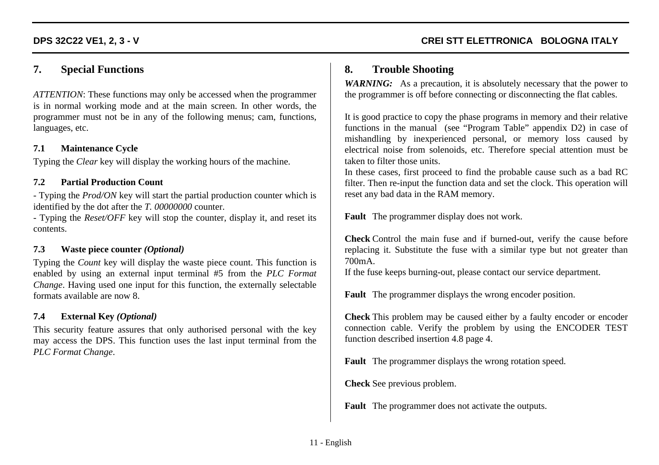# **7. Special Functions**

*ATTENTION*: These functions may only be accessed when the programmer is in normal working mode and at the main screen. In other words, the programmer must not be in any of the following menus; cam, functions, languages, etc.

#### **7.1 Maintenance Cycle**

Typing the *Clear* key will display the working hours of the machine.

#### **7.2 Partial Production Count**

- Typing the *Prod/ON* key will start the partial production counter which is identified by the dot after the *T. 00000000* counter.

- Typing the *Reset/OFF* key will stop the counter, display it, and reset its contents.

### **7.3 Waste piece counter** *(Optional)*

Typing the *Count* key will display the waste piece count. This function is enabled by using an external input terminal #5 from the *PLC Format Change*. Having used one input for this function, the externally selectable formats available are now 8.

### **7.4 External Key** *(Optional)*

This security feature assures that only authorised personal with the key may access the DPS. This function uses the last input terminal from the *PLC Format Change*.

# **8. Trouble Shooting**

*WARNING:* As a precaution, it is absolutely necessary that the power to the programmer is off before connecting or disconnecting the flat cables.

It is good practice to copy the phase programs in memory and their relative functions in the manual (see "Program Table" appendix D2) in case of mishandling by inexperienced personal, or memory loss caused by electrical noise from solenoids, etc. Therefore special attention must be taken to filter those units.

In these cases, first proceed to find the probable cause such as a bad RC filter. Then re-input the function data and set the clock. This operation will reset any bad data in the RAM memory.

**Fault** The programmer display does not work.

**Check** Control the main fuse and if burned-out, verify the cause before replacing it. Substitute the fuse with a similar type but not greater than 700mA.

If the fuse keeps burning-out, please contact our service department.

**Fault** The programmer displays the wrong encoder position.

**Check** This problem may be caused either by a faulty encoder or encoder connection cable. Verify the problem by using the ENCODER TEST function described insertion 4.8 page 4.

**Fault** The programmer displays the wrong rotation speed.

**Check** See previous problem.

**Fault** The programmer does not activate the outputs.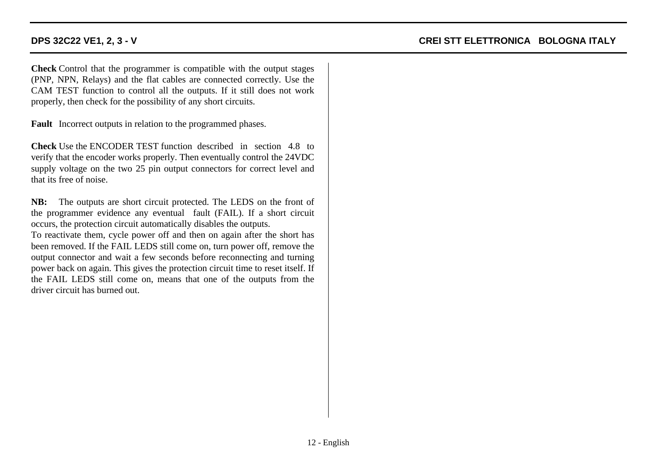**Check** Control that the programmer is compatible with the output stages (PNP, NPN, Relays) and the flat cables are connected correctly. Use the CAM TEST function to control all the outputs. If it still does not work properly, then check for the possibility of any short circuits.

**Fault** Incorrect outputs in relation to the programmed phases.

**Check** Use the ENCODER TEST function described in section 4.8 to verify that the encoder works properly. Then eventually control the 24VDC supply voltage on the two 25 pin output connectors for correct level and that its free of noise.

**NB:** The outputs are short circuit protected. The LEDS on the front of the programmer evidence any eventual fault (FAIL). If a short circuit occurs, the protection circuit automatically disables the outputs.

To reactivate them, cycle power off and then on again after the short has been removed. If the FAIL LEDS still come on, turn power off, remove the output connector and wait a few seconds before reconnecting and turning power back on again. This gives the protection circuit time to reset itself. If the FAIL LEDS still come on, means that one of the outputs from the driver circuit has burned out.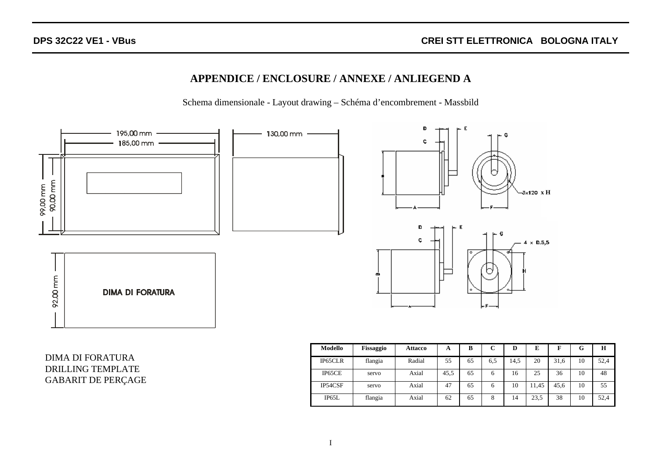# **APPENDICE / ENCLOSURE / ANNEXE / ANLIEGEND A**

Schema dimensionale - Layout drawing – Schéma d'encombrement - Massbild



DIMA DI FORATURA DRILLING TEMPLATE GABARIT DE PERÇAGE

| Modello | <b>Fissaggio</b> | <b>Attacco</b> | A    | в  | $\mathbf{r}$ | D    | E     | F    | G  | н    |
|---------|------------------|----------------|------|----|--------------|------|-------|------|----|------|
| IP65CLR | flangia          | Radial         | 55   | 65 | 6.5          | 14.5 | 20    | 31,6 | 10 | 52,4 |
| IP65CE  | servo            | Axial          | 45.5 | 65 | 6            | 16   | 25    | 36   | 10 | 48   |
| IP54CSF | servo            | Axial          | 47   | 65 | 6            | 10   | 11,45 | 45.6 | 10 | 55   |
| IP65L   | flangia          | Axial          | 62   | 65 | 8            | 14   | 23,5  | 38   | 10 | 52,4 |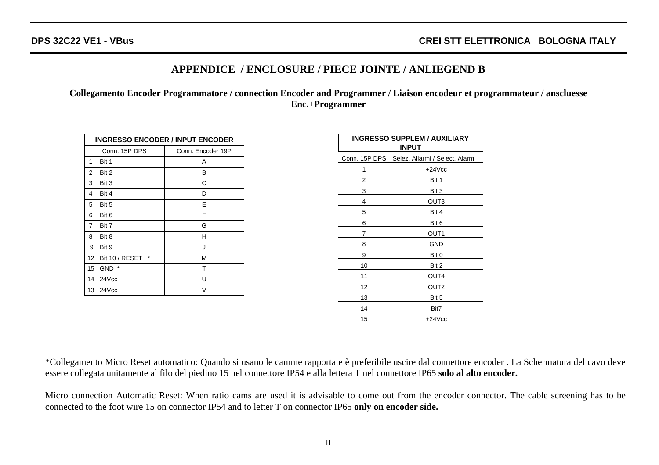# **APPENDICE / ENCLOSURE / PIECE JOINTE / ANLIEGEND B**

**Collegamento Encoder Programmatore / connection Encoder and Programmer / Liaison encodeur et programmateur / anscluesse Enc.+Programmer**

| <b>INGRESSO ENCODER / INPUT ENCODER</b> |                           |                   |  |  |  |  |
|-----------------------------------------|---------------------------|-------------------|--|--|--|--|
|                                         | Conn. 15P DPS             | Conn. Encoder 19P |  |  |  |  |
| 1                                       | Bit 1                     | A                 |  |  |  |  |
| 2                                       | Bit 2                     | B                 |  |  |  |  |
| 3                                       | Bit 3                     | C                 |  |  |  |  |
| 4                                       | Bit 4                     | D                 |  |  |  |  |
| 5                                       | Bit 5                     | Е                 |  |  |  |  |
| 6                                       | Bit 6                     | F                 |  |  |  |  |
| 7                                       | Bit 7                     | G                 |  |  |  |  |
| 8                                       | Bit 8                     | н                 |  |  |  |  |
| 9                                       | Bit 9                     | J                 |  |  |  |  |
| 12                                      | $\star$<br>Bit 10 / RESET | M                 |  |  |  |  |
| 15                                      | $\star$<br><b>GND</b>     | т                 |  |  |  |  |
| 14                                      | 24Vcc                     | U                 |  |  |  |  |
| 13                                      | 24Vcc                     | V                 |  |  |  |  |

| <b>INGRESSO SUPPLEM / AUXILIARY</b><br><b>INPUT</b> |                                |  |  |  |  |
|-----------------------------------------------------|--------------------------------|--|--|--|--|
| Conn. 15P DPS                                       | Selez. Allarmi / Select. Alarm |  |  |  |  |
| 1                                                   | $+24$ Vcc                      |  |  |  |  |
| 2                                                   | Bit 1                          |  |  |  |  |
| 3                                                   | Bit 3                          |  |  |  |  |
| 4                                                   | OUT3                           |  |  |  |  |
| 5                                                   | Bit 4                          |  |  |  |  |
| 6                                                   | Bit 6                          |  |  |  |  |
| 7                                                   | OUT1                           |  |  |  |  |
| 8                                                   | <b>GND</b>                     |  |  |  |  |
| 9                                                   | Bit 0                          |  |  |  |  |
| 10                                                  | Bit 2                          |  |  |  |  |
| 11                                                  | OUT4                           |  |  |  |  |
| 12                                                  | OUT2                           |  |  |  |  |
| 13                                                  | Bit 5                          |  |  |  |  |
| 14                                                  | Bit7                           |  |  |  |  |
| 15                                                  | $+24$ Vcc                      |  |  |  |  |

\*Collegamento Micro Reset automatico: Quando si usano le camme rapportate è preferibile uscire dal connettore encoder . La Schermatura del cavo deve essere collegata unitamente al filo del piedino 15 nel connettore IP54 e alla lettera T nel connettore IP65 **solo al alto encoder.**

Micro connection Automatic Reset: When ratio cams are used it is advisable to come out from the encoder connector. The cable screening has to be connected to the foot wire 15 on connector IP54 and to letter T on connector IP65 **only on encoder side.**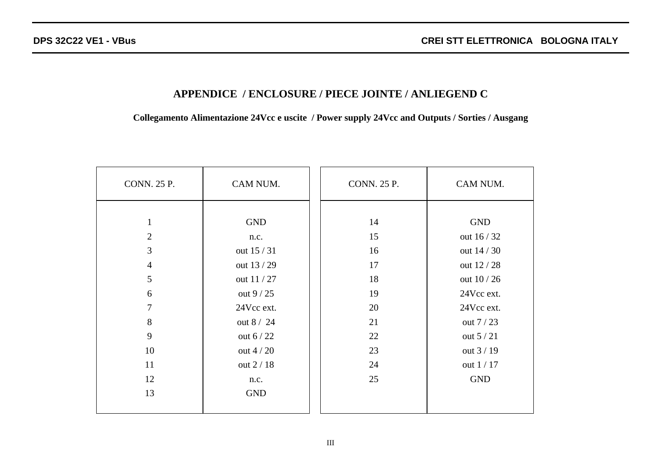# **APPENDICE / ENCLOSURE / PIECE JOINTE / ANLIEGEND C**

**Collegamento Alimentazione 24Vcc e uscite / Power supply 24Vcc and Outputs / Sorties / Ausgang**

s.

| <b>CONN. 25 P.</b> | CAM NUM.    | <b>CONN. 25 P.</b> | CAM NUM.    |
|--------------------|-------------|--------------------|-------------|
|                    |             |                    |             |
| $\mathbf{1}$       | <b>GND</b>  | 14                 | <b>GND</b>  |
| $\overline{2}$     | n.c.        | 15                 | out 16 / 32 |
| 3                  | out 15 / 31 | 16                 | out 14 / 30 |
| $\overline{4}$     | out 13/29   | 17                 | out 12 / 28 |
| 5                  | out 11/27   | 18                 | out 10 / 26 |
| 6                  | out $9/25$  | 19                 | 24Vcc ext.  |
| 7                  | 24Vcc ext.  | 20                 | 24Vcc ext.  |
| 8                  | out 8 / 24  | 21                 | out 7 / 23  |
| 9                  | out $6/22$  | 22                 | out $5/21$  |
| 10                 | out $4/20$  | 23                 | out 3 / 19  |
| 11                 | out 2 / 18  | 24                 | out 1 / 17  |
| 12                 | n.c.        | 25                 | <b>GND</b>  |
| 13                 | <b>GND</b>  |                    |             |
|                    |             |                    |             |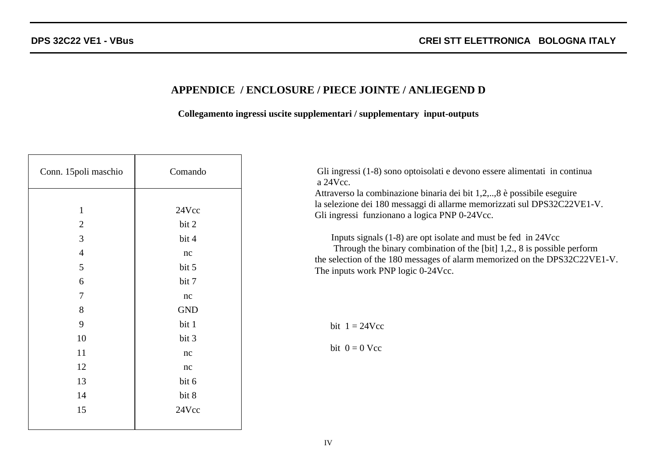# **APPENDICE / ENCLOSURE / PIECE JOINTE / ANLIEGEND D**

## **Collegamento ingressi uscite supplementari / supplementary input-outputs**

| Conn. 15 poli maschio          | Comando        | Gli ingressi (1-8) sono optoisolati e devono essere alimentati in continua<br>a 24Vcc.                                                                                                             |
|--------------------------------|----------------|----------------------------------------------------------------------------------------------------------------------------------------------------------------------------------------------------|
| $\mathbf{1}$<br>$\overline{2}$ | 24Vcc<br>bit 2 | Attraverso la combinazione binaria dei bit 1,2,,8 è possibile eseguire<br>la selezione dei 180 messaggi di allarme memorizzati sul DPS32C22VE1-V.<br>Gli ingressi funzionano a logica PNP 0-24Vcc. |
| 3                              | bit 4          | Inputs signals $(1-8)$ are opt isolate and must be fed in 24Vcc                                                                                                                                    |
| 4                              | nc             | Through the binary combination of the [bit] 1,2., 8 is possible perform<br>the selection of the 180 messages of alarm memorized on the DPS32C22VE1-V.                                              |
| 5                              | bit 5          | The inputs work PNP logic 0-24Vcc.                                                                                                                                                                 |
| 6                              | bit 7          |                                                                                                                                                                                                    |
| 7                              | nc             |                                                                                                                                                                                                    |
| 8                              | <b>GND</b>     |                                                                                                                                                                                                    |
| 9                              | bit 1          | bit $1 = 24$ Vcc                                                                                                                                                                                   |
| 10                             | bit 3          |                                                                                                                                                                                                    |
| 11                             | nc             | bit $0 = 0$ Vcc                                                                                                                                                                                    |
| 12                             | nc             |                                                                                                                                                                                                    |
| 13                             | bit 6          |                                                                                                                                                                                                    |
| 14                             | bit 8          |                                                                                                                                                                                                    |
| 15                             | 24Vcc          |                                                                                                                                                                                                    |
|                                |                |                                                                                                                                                                                                    |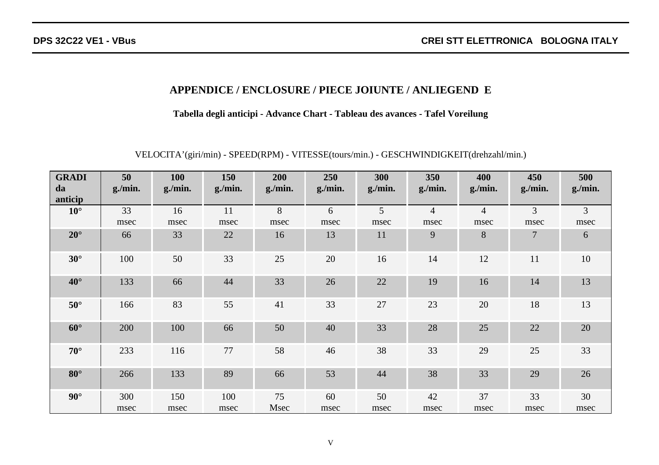# **APPENDICE / ENCLOSURE / PIECE JOIUNTE / ANLIEGEND E**

**Tabella degli anticipi - Advance Chart - Tableau des avances - Tafel Voreilung**

VELOCITA'(giri/min) - SPEED(RPM) - VITESSE(tours/min.) - GESCHWINDIGKEIT(drehzahl/min.)

| <b>GRADI</b><br>da<br>anticip | 50<br>g/min. | <b>100</b><br>g/min. | 150<br>g/min. | 200<br>g/min. | 250<br>g/min. | 300<br>g/min. | 350<br>g/min.  | 400<br>g/min.  | 450<br>g/min. | 500<br>g/min. |
|-------------------------------|--------------|----------------------|---------------|---------------|---------------|---------------|----------------|----------------|---------------|---------------|
| $10^{\circ}$                  | 33           | 16                   | 11            | 8             | 6             | 5             | $\overline{4}$ | $\overline{4}$ | 3             | 3             |
|                               | msec         | msec                 | msec          | msec          | msec          | msec          | msec           | msec           | msec          | msec          |
| $20^{\circ}$                  | 66           | 33                   | 22            | 16            | 13            | 11            | 9              | 8              | 7             | 6             |
| $30^\circ$                    | 100          | 50                   | 33            | 25            | 20            | 16            | 14             | 12             | 11            | 10            |
| $40^{\circ}$                  | 133          | 66                   | 44            | 33            | 26            | 22            | 19             | 16             | 14            | 13            |
| $50^\circ$                    | 166          | 83                   | 55            | 41            | 33            | 27            | 23             | 20             | 18            | 13            |
| $60^\circ$                    | 200          | 100                  | 66            | 50            | 40            | 33            | 28             | 25             | 22            | 20            |
| $70^{\circ}$                  | 233          | 116                  | 77            | 58            | 46            | 38            | 33             | 29             | 25            | 33            |
| $80^\circ$                    | 266          | 133                  | 89            | 66            | 53            | 44            | 38             | 33             | 29            | 26            |
| $90^\circ$                    | 300          | 150                  | 100           | 75            | 60            | 50            | 42             | 37             | 33            | 30            |
|                               | msec         | msec                 | msec          | Msec          | msec          | msec          | msec           | msec           | msec          | msec          |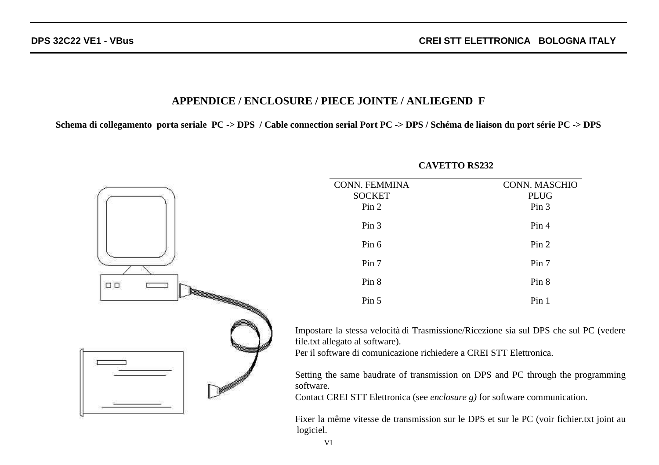## **APPENDICE / ENCLOSURE / PIECE JOINTE / ANLIEGEND F**

**Schema di collegamento porta seriale PC -> DPS / Cable connection serial Port PC -> DPS / Schéma de liaison du port série PC -> DPS**



#### **CAVETTO RS232**

VI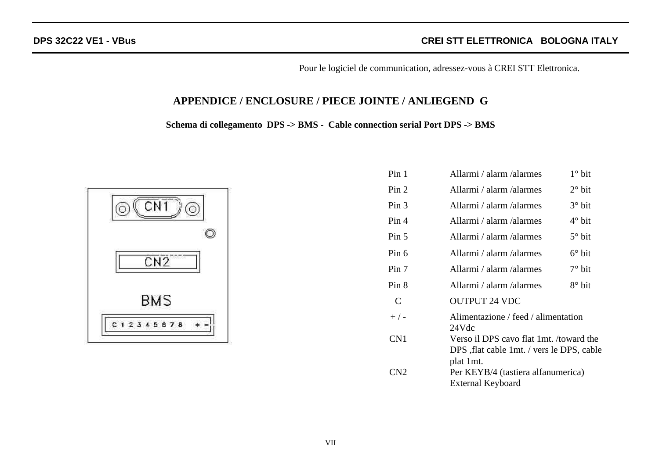Pour le logiciel de communication, adressez-vous à CREI STT Elettronica.

# **APPENDICE / ENCLOSURE / PIECE JOINTE / ANLIEGEND G**

**Schema di collegamento DPS -> BMS - Cable connection serial Port DPS -> BMS**



| Pin 1            | Allarmi / alarm / alarmes                                                             | $1^\circ$ bit   |
|------------------|---------------------------------------------------------------------------------------|-----------------|
| Pin 2            | Allarmi / alarm / alarmes                                                             | $2^{\circ}$ bit |
| Pin <sub>3</sub> | Allarmi / alarm / alarmes                                                             | $3^\circ$ bit   |
| Pin 4            | Allarmi / alarm / alarmes                                                             | $4^\circ$ bit   |
| Pin 5            | Allarmi / alarm / alarmes                                                             | $5^\circ$ bit   |
| Pin 6            | Allarmi / alarm / alarmes                                                             | $6^\circ$ bit   |
| Pin 7            | Allarmi / alarm / alarmes                                                             | $7^\circ$ bit   |
| Pin 8            | Allarmi / alarm / alarmes                                                             | $8^\circ$ bit   |
| $\mathsf{C}$     | <b>OUTPUT 24 VDC</b>                                                                  |                 |
| $+$ / -          | Alimentazione / feed / alimentation<br>24Vdc                                          |                 |
| CN <sub>1</sub>  | Verso il DPS cavo flat 1mt. /toward the<br>DPS , flat cable 1mt. / vers le DPS, cable |                 |
| CN <sub>2</sub>  | plat 1mt.<br>Per KEYB/4 (tastiera alfanumerica)<br><b>External Keyboard</b>           |                 |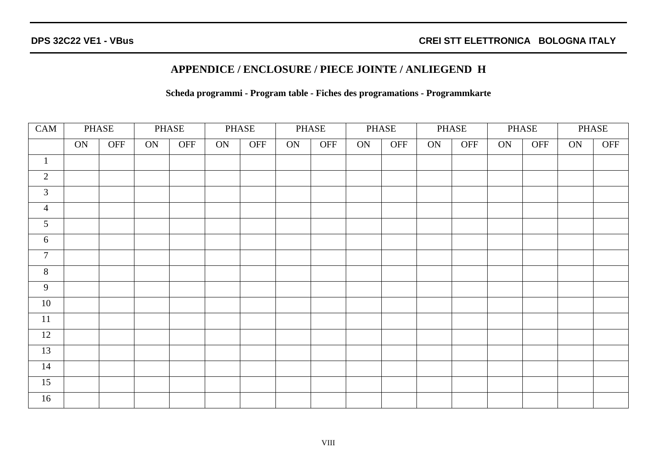# **APPENDICE / ENCLOSURE / PIECE JOINTE / ANLIEGEND H**

### **Scheda programmi - Program table - Fiches des programations - Programmkarte**

| CAM             | PHASE |     | PHASE |     | PHASE |     | PHASE |     | PHASE |     | PHASE |     | PHASE |     | PHASE |     |
|-----------------|-------|-----|-------|-----|-------|-----|-------|-----|-------|-----|-------|-----|-------|-----|-------|-----|
|                 | ON    | OFF | ON    | OFF | ON    | OFF | ON    | OFF | ON    | OFF | ON    | OFF | ON    | OFF | ON    | OFF |
| $\mathbf{1}$    |       |     |       |     |       |     |       |     |       |     |       |     |       |     |       |     |
| $\overline{2}$  |       |     |       |     |       |     |       |     |       |     |       |     |       |     |       |     |
| $\mathfrak{Z}$  |       |     |       |     |       |     |       |     |       |     |       |     |       |     |       |     |
| $\overline{4}$  |       |     |       |     |       |     |       |     |       |     |       |     |       |     |       |     |
| $5\overline{)}$ |       |     |       |     |       |     |       |     |       |     |       |     |       |     |       |     |
| 6               |       |     |       |     |       |     |       |     |       |     |       |     |       |     |       |     |
| $\overline{7}$  |       |     |       |     |       |     |       |     |       |     |       |     |       |     |       |     |
| $\overline{8}$  |       |     |       |     |       |     |       |     |       |     |       |     |       |     |       |     |
| 9               |       |     |       |     |       |     |       |     |       |     |       |     |       |     |       |     |
| 10              |       |     |       |     |       |     |       |     |       |     |       |     |       |     |       |     |
| $11\,$          |       |     |       |     |       |     |       |     |       |     |       |     |       |     |       |     |
| 12              |       |     |       |     |       |     |       |     |       |     |       |     |       |     |       |     |
| 13              |       |     |       |     |       |     |       |     |       |     |       |     |       |     |       |     |
| 14              |       |     |       |     |       |     |       |     |       |     |       |     |       |     |       |     |
| 15              |       |     |       |     |       |     |       |     |       |     |       |     |       |     |       |     |
| 16              |       |     |       |     |       |     |       |     |       |     |       |     |       |     |       |     |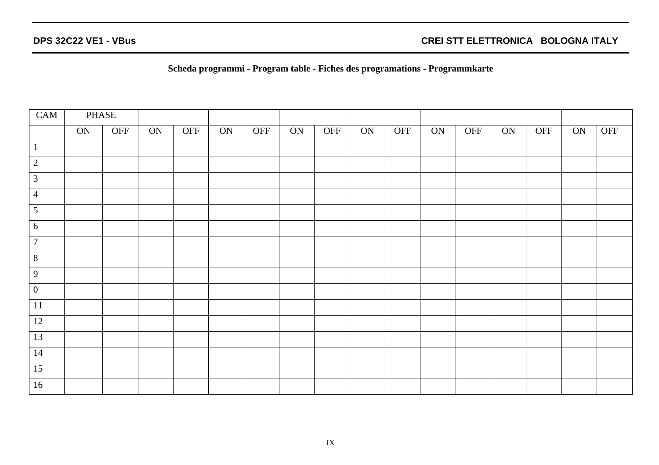**Scheda programmi - Program table - Fiches des programations - Programmkarte**

| CAM              | PHASE |     |    |     |    |     |    |     |    |     |    |     |    |     |    |     |
|------------------|-------|-----|----|-----|----|-----|----|-----|----|-----|----|-----|----|-----|----|-----|
|                  | ON    | OFF | ON | OFF | ON | OFF | ON | OFF | ON | OFF | ON | OFF | ON | OFF | ON | OFF |
| $\mathbf{1}$     |       |     |    |     |    |     |    |     |    |     |    |     |    |     |    |     |
| $\overline{2}$   |       |     |    |     |    |     |    |     |    |     |    |     |    |     |    |     |
| $\mathfrak{Z}$   |       |     |    |     |    |     |    |     |    |     |    |     |    |     |    |     |
| $\overline{4}$   |       |     |    |     |    |     |    |     |    |     |    |     |    |     |    |     |
| $\mathfrak{S}$   |       |     |    |     |    |     |    |     |    |     |    |     |    |     |    |     |
| $\sqrt{6}$       |       |     |    |     |    |     |    |     |    |     |    |     |    |     |    |     |
| $\boldsymbol{7}$ |       |     |    |     |    |     |    |     |    |     |    |     |    |     |    |     |
| 8                |       |     |    |     |    |     |    |     |    |     |    |     |    |     |    |     |
| 9                |       |     |    |     |    |     |    |     |    |     |    |     |    |     |    |     |
| $\boldsymbol{0}$ |       |     |    |     |    |     |    |     |    |     |    |     |    |     |    |     |
| 11               |       |     |    |     |    |     |    |     |    |     |    |     |    |     |    |     |
| 12               |       |     |    |     |    |     |    |     |    |     |    |     |    |     |    |     |
| 13               |       |     |    |     |    |     |    |     |    |     |    |     |    |     |    |     |
| 14               |       |     |    |     |    |     |    |     |    |     |    |     |    |     |    |     |
| $\overline{15}$  |       |     |    |     |    |     |    |     |    |     |    |     |    |     |    |     |
| 16               |       |     |    |     |    |     |    |     |    |     |    |     |    |     |    |     |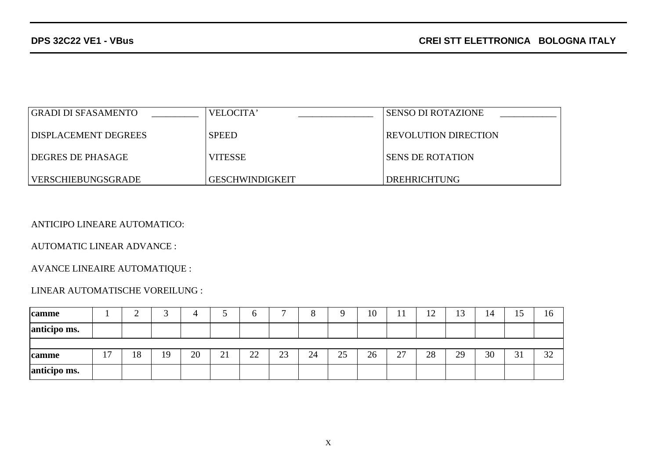| GRADI DI SFASAMENTO  | VELOCITA'       | l SENSO DI ROTAZIONE        |
|----------------------|-----------------|-----------------------------|
| DISPLACEMENT DEGREES | <b>SPEED</b>    | <b>REVOLUTION DIRECTION</b> |
| I DEGRES DE PHASAGE  | <b>VITESSE</b>  | I SENS DE ROTATION          |
| VERSCHIEBUNGSGRADE   | GESCHWINDIGKEIT | DREHRICHTUNG                |

ANTICIPO LINEARE AUTOMATICO:

AUTOMATIC LINEAR ADVANCE :

AVANCE LINEAIRE AUTOMATIQUE :

## LINEAR AUTOMATISCHE VOREILUNG :

| camme        |            | ∸  |    |    |    | υ  | $\overline{\phantom{0}}$ | $\Omega$ |    | 10 | $\overline{1}$<br>$\mathbf{I}$ | 12 | 13 | 14 | 1J                | 16 |
|--------------|------------|----|----|----|----|----|--------------------------|----------|----|----|--------------------------------|----|----|----|-------------------|----|
| anticipo ms. |            |    |    |    |    |    |                          |          |    |    |                                |    |    |    |                   |    |
|              |            |    |    |    |    |    |                          |          |    |    |                                |    |    |    |                   |    |
| camme        | . .<br>. . | 18 | 19 | 20 | 21 | 22 | 23                       | 24       | 25 | 26 | $\mathcal{L}$<br>$\angle I$    | 28 | 29 | 30 | $\bigcap$ 1<br>31 | 32 |
| anticipo ms. |            |    |    |    |    |    |                          |          |    |    |                                |    |    |    |                   |    |